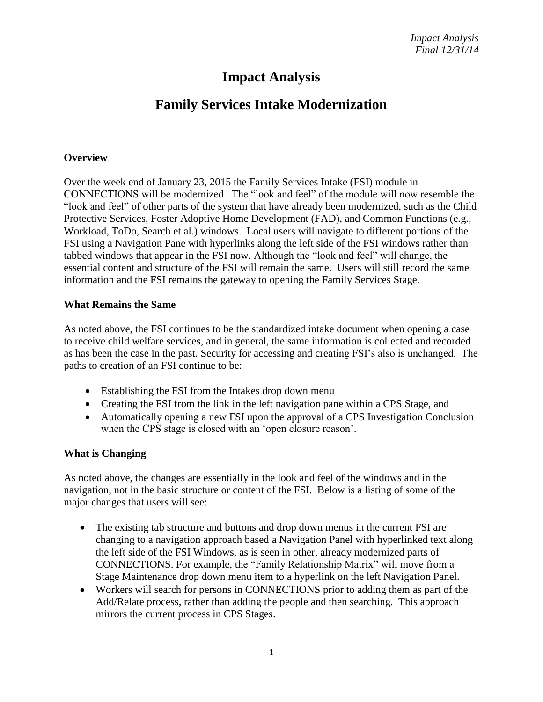# **Impact Analysis**

# **Family Services Intake Modernization**

#### **Overview**

Over the week end of January 23, 2015 the Family Services Intake (FSI) module in CONNECTIONS will be modernized. The "look and feel" of the module will now resemble the "look and feel" of other parts of the system that have already been modernized, such as the Child Protective Services, Foster Adoptive Home Development (FAD), and Common Functions (e.g., Workload, ToDo, Search et al.) windows. Local users will navigate to different portions of the FSI using a Navigation Pane with hyperlinks along the left side of the FSI windows rather than tabbed windows that appear in the FSI now. Although the "look and feel" will change, the essential content and structure of the FSI will remain the same. Users will still record the same information and the FSI remains the gateway to opening the Family Services Stage.

#### **What Remains the Same**

As noted above, the FSI continues to be the standardized intake document when opening a case to receive child welfare services, and in general, the same information is collected and recorded as has been the case in the past. Security for accessing and creating FSI's also is unchanged. The paths to creation of an FSI continue to be:

- Establishing the FSI from the Intakes drop down menu
- Creating the FSI from the link in the left navigation pane within a CPS Stage, and
- Automatically opening a new FSI upon the approval of a CPS Investigation Conclusion when the CPS stage is closed with an 'open closure reason'.

### **What is Changing**

As noted above, the changes are essentially in the look and feel of the windows and in the navigation, not in the basic structure or content of the FSI. Below is a listing of some of the major changes that users will see:

- The existing tab structure and buttons and drop down menus in the current FSI are changing to a navigation approach based a Navigation Panel with hyperlinked text along the left side of the FSI Windows, as is seen in other, already modernized parts of CONNECTIONS. For example, the "Family Relationship Matrix" will move from a Stage Maintenance drop down menu item to a hyperlink on the left Navigation Panel.
- Workers will search for persons in CONNECTIONS prior to adding them as part of the Add/Relate process, rather than adding the people and then searching. This approach mirrors the current process in CPS Stages.